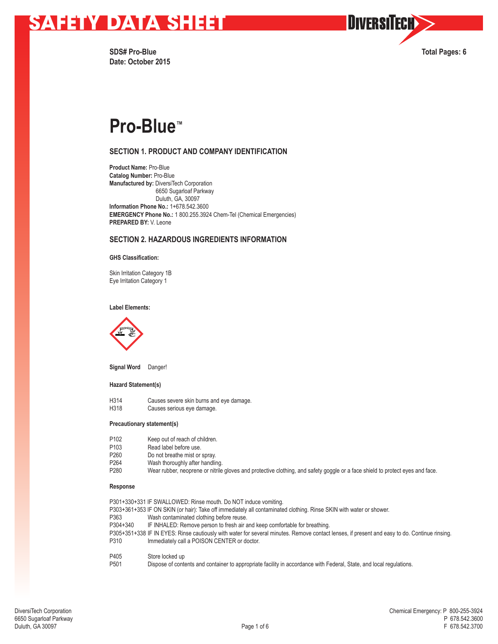

DIVERSITECH

**SDS# Pro-Blue Total Pages: 6 Date: October 2015**

## **Pro-Blue™**

## **SECTION 1. PRODUCT AND COMPANY IDENTIFICATION**

**Product Name:** Pro-Blue **Catalog Number:** Pro-Blue **Manufactured by:** DiversiTech Corporation 6650 Sugarloaf Parkway Duluth, GA, 30097 **Information Phone No.:** 1+678.542.3600 **EMERGENCY Phone No.:** 1 800.255.3924 Chem-Tel (Chemical Emergencies) **PREPARED BY:** V. Leone

## **SECTION 2. HAZARDOUS INGREDIENTS INFORMATION**

### **GHS Classification:**

Skin Irritation Category 1B Eye Irritation Category 1

### **Label Elements:**



**Signal Word** Danger!

### **Hazard Statement(s)**

H314 Causes severe skin burns and eye damage.<br>H318 Causes serious eye damage. Causes serious eye damage.

### **Precautionary statement(s)**

| P <sub>102</sub> | Keep out of reach of children.                                                                                                |
|------------------|-------------------------------------------------------------------------------------------------------------------------------|
| P <sub>103</sub> | Read label before use.                                                                                                        |
| P <sub>260</sub> | Do not breathe mist or spray.                                                                                                 |
| P <sub>264</sub> | Wash thoroughly after handling.                                                                                               |
| P <sub>280</sub> | Wear rubber, neoprene or nitrile gloves and protective clothing, and safety goggle or a face shield to protect eyes and face. |

#### **Response**

|                  | P301+330+331 IF SWALLOWED: Rinse mouth. Do NOT induce vomiting.                                                                               |
|------------------|-----------------------------------------------------------------------------------------------------------------------------------------------|
|                  | P303+361+353 IF ON SKIN (or hair): Take off immediately all contaminated clothing. Rinse SKIN with water or shower.                           |
| P363             | Wash contaminated clothing before reuse.                                                                                                      |
| P304+340         | IF INHALED: Remove person to fresh air and keep comfortable for breathing.                                                                    |
|                  | P305+351+338 IF IN EYES: Rinse cautiously with water for several minutes. Remove contact lenses, if present and easy to do. Continue rinsing. |
| P310             | Immediately call a POISON CENTER or doctor.                                                                                                   |
| P405             | Store locked up                                                                                                                               |
| P <sub>501</sub> | Dispose of contents and container to appropriate facility in accordance with Federal, State, and local regulations.                           |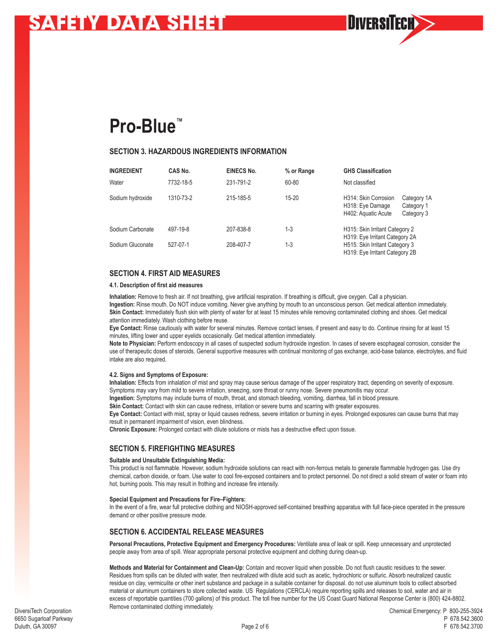**Pro-Blue™**

### **SECTION 3. HAZARDOUS INGREDIENTS INFORMATION**

| <b>INGREDIENT</b> | CAS No.   | <b>EINECS No.</b> | % or Range | <b>GHS Classification</b>                                                                          |                                         |  |
|-------------------|-----------|-------------------|------------|----------------------------------------------------------------------------------------------------|-----------------------------------------|--|
| Water             | 7732-18-5 | 231-791-2         | 60-80      | Not classified                                                                                     |                                         |  |
| Sodium hydroxide  | 1310-73-2 | 215-185-5         | $15 - 20$  | H314: Skin Corrosion<br>H318: Eye Damage<br>H402: Aquatic Acute                                    | Category 1A<br>Category 1<br>Category 3 |  |
| Sodium Carbonate  | 497-19-8  | 207-838-8         | $1 - 3$    | H315: Skin Irritant Category 2                                                                     |                                         |  |
| Sodium Gluconate  | 527-07-1  | 208-407-7         | $1 - 3$    | H319: Eye Irritant Category 2A<br>H515: Skin Irritant Category 3<br>H319: Eye Irritant Category 2B |                                         |  |

**NIVERSI** 

## **SECTION 4. FIRST AID MEASURES**

### **4.1. Description of first aid measures**

**Inhalation:** Remove to fresh air. If not breathing, give artificial respiration. If breathing is difficult, give oxygen. Call a physician. **Ingestion:** Rinse mouth. Do NOT induce vomiting. Never give anything by mouth to an unconscious person. Get medical attention immediately. **Skin Contact:** Immediately flush skin with plenty of water for at least 15 minutes while removing contaminated clothing and shoes. Get medical attention immediately. Wash clothing before reuse.

**Eye Contact:** Rinse cautiously with water for several minutes. Remove contact lenses, if present and easy to do. Continue rinsing for at least 15 minutes, lifting lower and upper eyelids occasionally. Get medical attention immediately.

**Note to Physician:** Perform endoscopy in all cases of suspected sodium hydroxide ingestion. In cases of severe esophageal corrosion, consider the use of therapeutic doses of steroids. General supportive measures with continual monitoring of gas exchange, acid-base balance, electrolytes, and fluid intake are also required.

### **4.2. Signs and Symptoms of Exposure:**

**Inhalation:** Effects from inhalation of mist and spray may cause serious damage of the upper respiratory tract, depending on severity of exposure. Symptoms may vary from mild to severe irritation, sneezing, sore throat or runny nose. Severe pneumonitis may occur.

**Ingestion:** Symptoms may include burns of mouth, throat, and stomach bleeding, vomiting, diarrhea, fall in blood pressure.

**Skin Contact:** Contact with skin can cause redness, irritation or severe burns and scarring with greater exposures.

**Eye Contact:** Contact with mist, spray or liquid causes redness, severe irritation or burning in eyes. Prolonged exposures can cause burns that may result in permanent impairment of vision, even blindness.

**Chronic Exposure:** Prolonged contact with dilute solutions or mists has a destructive effect upon tissue.

## **SECTION 5. FIREFIGHTING MEASURES**

### **Suitable and Unsuitable Extinguishing Media:**

This product is not flammable. However, sodium hydroxide solutions can react with non-ferrous metals to generate flammable hydrogen gas. Use dry chemical, carbon dioxide, or foam. Use water to cool fire-exposed containers and to protect personnel. Do not direct a solid stream of water or foam into hot, burning pools. This may result in frothing and increase fire intensity.

### **Special Equipment and Precautions for Fire–Fighters:**

In the event of a fire, wear full protective clothing and NIOSH-approved self-contained breathing apparatus with full face-piece operated in the pressure demand or other positive pressure mode.

## **SECTION 6. ACCIDENTAL RELEASE MEASURES**

**Personal Precautions, Protective Equipment and Emergency Procedures:** Ventilate area of leak or spill. Keep unnecessary and unprotected people away from area of spill. Wear appropriate personal protective equipment and clothing during clean-up.

**Methods and Material for Containment and Clean-Up:** Contain and recover liquid when possible. Do not flush caustic residues to the sewer. Residues from spills can be diluted with water, then neutralized with dilute acid such as acetic, hydrochloric or sulfuric. Absorb neutralized caustic residue on clay, vermiculite or other inert substance and package in a suitable container for disposal. do not use aluminum tools to collect absorbed material or aluminum containers to store collected waste. US Regulations (CERCLA) require reporting spills and releases to soil, water and air in excess of reportable quantities (700 gallons) of this product. The toll free number for the US Coast Guard National Response Center is (800) 424-8802. Remove contaminated clothing immediately.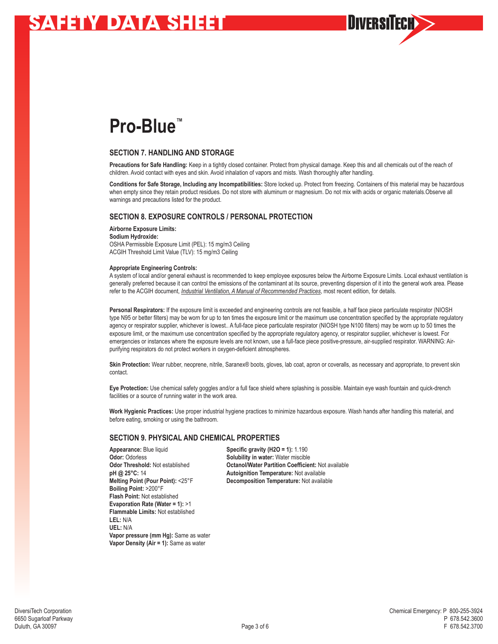## **Pro-Blue™**

## **SECTION 7. HANDLING AND STORAGE**

**Precautions for Safe Handling:** Keep in a tightly closed container. Protect from physical damage. Keep this and all chemicals out of the reach of children. Avoid contact with eyes and skin. Avoid inhalation of vapors and mists. Wash thoroughly after handling.

**Conditions for Safe Storage, Including any Incompatibilities:** Store locked up. Protect from freezing. Containers of this material may be hazardous when empty since they retain product residues. Do not store with aluminum or magnesium. Do not mix with acids or organic materials.Observe all warnings and precautions listed for the product.

**HIVFRSI** 

## **SECTION 8. EXPOSURE CONTROLS / PERSONAL PROTECTION**

**Airborne Exposure Limits: Sodium Hydroxide:** OSHA Permissible Exposure Limit (PEL): 15 mg/m3 Ceiling ACGIH Threshold Limit Value (TLV): 15 mg/m3 Ceiling

#### **Appropriate Engineering Controls:**

A system of local and/or general exhaust is recommended to keep employee exposures below the Airborne Exposure Limits. Local exhaust ventilation is generally preferred because it can control the emissions of the contaminant at its source, preventing dispersion of it into the general work area. Please refer to the ACGIH document, *Industrial Ventilation, A Manual of Recommended Practices*, most recent edition, for details.

Personal Respirators: If the exposure limit is exceeded and engineering controls are not feasible, a half face piece particulate respirator (NIOSH type N95 or better filters) may be worn for up to ten times the exposure limit or the maximum use concentration specified by the appropriate regulatory agency or respirator supplier, whichever is lowest.. A full-face piece particulate respirator (NIOSH type N100 filters) may be worn up to 50 times the exposure limit, or the maximum use concentration specified by the appropriate regulatory agency, or respirator supplier, whichever is lowest. For emergencies or instances where the exposure levels are not known, use a full-face piece positive-pressure, air-supplied respirator. WARNING: Airpurifying respirators do not protect workers in oxygen-deficient atmospheres.

**Skin Protection:** Wear rubber, neoprene, nitrile, Saranex® boots, gloves, lab coat, apron or coveralls, as necessary and appropriate, to prevent skin contact.

**Eye Protection:** Use chemical safety goggles and/or a full face shield where splashing is possible. Maintain eye wash fountain and quick-drench facilities or a source of running water in the work area.

**Work Hygienic Practices:** Use proper industrial hygiene practices to minimize hazardous exposure. Wash hands after handling this material, and before eating, smoking or using the bathroom.

### **SECTION 9. PHYSICAL AND CHEMICAL PROPERTIES**

**Appearance:** Blue liquid **Specific gravity (H2O = 1):** 1.190<br> **Odor:** Odorless **Collection Solubility in water:** Water miscible **Boiling Point:** >200°F **Flash Point:** Not established **Evaporation Rate (Water = 1):** >1 **Flammable Limits:** Not established **LEL:** N/A **UEL:** N/A **Vapor pressure (mm Hg):** Same as water **Vapor Density (Air = 1):** Same as water

**Solubility in water:** Water miscible **Odor Threshold:** Not established **Detanol/Water Partition Coefficient:** Not available pH @ 25°C: 14 **Detailable** pH @ 25°C: 14 **Autoignition Temperature: Not available Melting Point (Pour Point):** <25°F **Decomposition Temperature:** Not available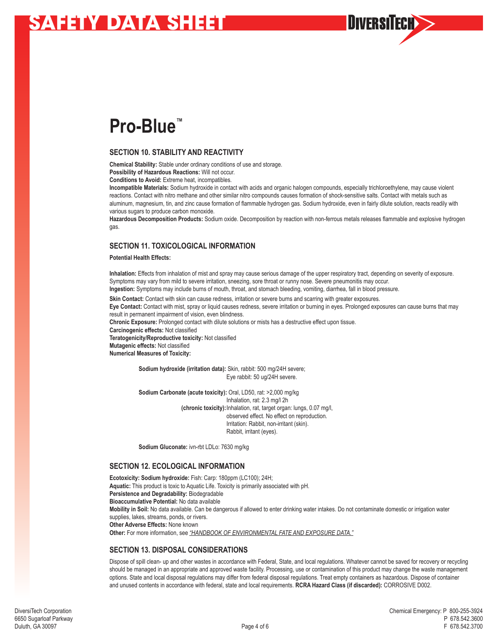## **Pro-Blue™**

## **SECTION 10. STABILITY AND REACTIVITY**

**Chemical Stability:** Stable under ordinary conditions of use and storage.

**Possibility of Hazardous Reactions:** Will not occur.

**Conditions to Avoid:** Extreme heat, incompatibles.

**Incompatible Materials:** Sodium hydroxide in contact with acids and organic halogen compounds, especially trichloroethylene, may cause violent reactions. Contact with nitro methane and other similar nitro compounds causes formation of shock-sensitive salts. Contact with metals such as aluminum, magnesium, tin, and zinc cause formation of flammable hydrogen gas. Sodium hydroxide, even in fairly dilute solution, reacts readily with various sugars to produce carbon monoxide.

**Hazardous Decomposition Products:** Sodium oxide. Decomposition by reaction with non-ferrous metals releases flammable and explosive hydrogen gas.

**NIVERSI** 

## **SECTION 11. TOXICOLOGICAL INFORMATION**

### **Potential Health Effects:**

**Inhalation:** Effects from inhalation of mist and spray may cause serious damage of the upper respiratory tract, depending on severity of exposure. Symptoms may vary from mild to severe irritation, sneezing, sore throat or runny nose. Severe pneumonitis may occur. **Ingestion:** Symptoms may include burns of mouth, throat, and stomach bleeding, vomiting, diarrhea, fall in blood pressure.

**Skin Contact:** Contact with skin can cause redness, irritation or severe burns and scarring with greater exposures.

**Eye Contact:** Contact with mist, spray or liquid causes redness, severe irritation or burning in eyes. Prolonged exposures can cause burns that may result in permanent impairment of vision, even blindness.

**Chronic Exposure:** Prolonged contact with dilute solutions or mists has a destructive effect upon tissue.

**Carcinogenic effects:** Not classified

**Teratogenicity/Reproductive toxicity:** Not classified **Mutagenic effects:** Not classified

**Numerical Measures of Toxicity:**

**Sodium hydroxide (irritation data):** Skin, rabbit: 500 mg/24H severe; Eye rabbit: 50 ug/24H severe.

**Sodium Carbonate (acute toxicity):** Oral, LD50, rat: >2,000 mg/kg Inhalation, rat: 2.3 mg/l 2h **(chronic toxicity):**Inhalation, rat, target organ: lungs, 0.07 mg/l, observed effect. No effect on reproduction. Irritation: Rabbit, non-irritant (skin). Rabbit, irritant (eyes).

**Sodium Gluconate:** ivn-rbt LDLo: 7630 mg/kg

## **SECTION 12. ECOLOGICAL INFORMATION**

**Ecotoxicity: Sodium hydroxide:** Fish: Carp: 180ppm (LC100); 24H; **Aquatic:** This product is toxic to Aquatic Life. Toxicity is primarily associated with pH. **Persistence and Degradability:** Biodegradable **Bioaccumulative Potential:** No data available **Mobility in Soil:** No data available. Can be dangerous if allowed to enter drinking water intakes. Do not contaminate domestic or irrigation water supplies, lakes, streams, ponds, or rivers. **Other Adverse Effects:** None known **Other:** For more information, see *"HANDBOOK OF ENVIRONMENTAL FATE AND EXPOSURE DATA."*

## **SECTION 13. DISPOSAL CONSIDERATIONS**

Dispose of spill clean- up and other wastes in accordance with Federal, State, and local regulations. Whatever cannot be saved for recovery or recycling should be managed in an appropriate and approved waste facility. Processing, use or contamination of this product may change the waste management options. State and local disposal regulations may differ from federal disposal regulations. Treat empty containers as hazardous. Dispose of container and unused contents in accordance with federal, state and local requirements. **RCRA Hazard Class (if discarded):** CORROSIVE D002.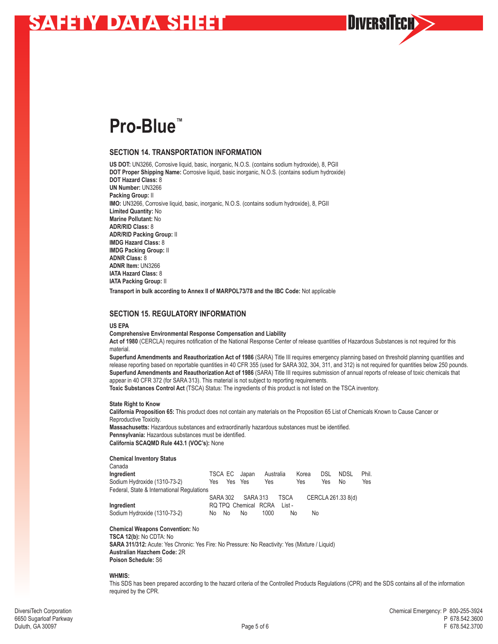## **Pro-Blue™**

## **SECTION 14. TRANSPORTATION INFORMATION**

**US DOT:** UN3266, Corrosive liquid, basic, inorganic, N.O.S. (contains sodium hydroxide), 8, PGII **DOT Proper Shipping Name:** Corrosive liquid, basic inorganic, N.O.S. (contains sodium hydroxide) **DOT Hazard Class:** 8 **UN Number:** UN3266 **Packing Group:** II **IMO:** UN3266, Corrosive liquid, basic, inorganic, N.O.S. (contains sodium hydroxide), 8, PGII **Limited Quantity:** No **Marine Pollutant:** No **ADR/RID Class:** 8 **ADR/RID Packing Group:** II **IMDG Hazard Class:** 8 **IMDG Packing Group:** II **ADNR Class:** 8 **ADNR Item:** UN3266 **IATA Hazard Class:** 8 **IATA Packing Group:** II **Transport in bulk according to Annex II of MARPOL73/78 and the IBC Code:** Not applicable

### **SECTION 15. REGULATORY INFORMATION**

### **US EPA**

### **Comprehensive Environmental Response Compensation and Liability**

**Act of 1980** (CERCLA) requires notification of the National Response Center of release quantities of Hazardous Substances is not required for this material.

**Superfund Amendments and Reauthorization Act of 1986** (SARA) Title III requires emergency planning based on threshold planning quantities and release reporting based on reportable quantities in 40 CFR 355 (used for SARA 302, 304, 311, and 312) is not required for quantities below 250 pounds. **Superfund Amendments and Reauthorization Act of 1986** (SARA) Title III requires submission of annual reports of release of toxic chemicals that appear in 40 CFR 372 (for SARA 313). This material is not subject to reporting requirements.

**NIVFRSI** 

**Toxic Substances Control Act** (TSCA) Status: The ingredients of this product is not listed on the TSCA inventory.

### **State Right to Know**

**California Proposition 65:** This product does not contain any materials on the Proposition 65 List of Chemicals Known to Cause Cancer or Reproductive Toxicity.

**Massachusetts:** Hazardous substances and extraordinarily hazardous substances must be identified. **Pennsylvania:** Hazardous substances must be identified. **California SCAQMD Rule 443.1 (VOC's):** None

### **Chemical Inventory Status**

| Canada                                     |                 |                      |           |             |       |      |                    |       |
|--------------------------------------------|-----------------|----------------------|-----------|-------------|-------|------|--------------------|-------|
| Ingredient                                 |                 | TSCA EC Japan        | Australia |             | Korea | DSL. | <b>NDSL</b>        | Phil. |
| Sodium Hydroxide (1310-73-2)               | Yes             | Yes Yes              | Yes       |             | Yes   | Yes  | No                 | Yes   |
| Federal, State & International Regulations |                 |                      |           |             |       |      |                    |       |
|                                            | <b>SARA 302</b> | SARA 313             |           | <b>TSCA</b> |       |      | CERCLA 261.33 8(d) |       |
| Ingredient                                 |                 | RQ TPQ Chemical RCRA |           | List -      |       |      |                    |       |

Sodium Hydroxide (1310-73-2) No No No 1000 No No

### **Chemical Weapons Convention:** No

**TSCA 12(b):** No CDTA: No **SARA 311/312:** Acute: Yes Chronic: Yes Fire: No Pressure: No Reactivity: Yes (Mixture / Liquid) **Australian Hazchem Code:** 2R **Poison Schedule:** S6

### **WHMIS:**

This SDS has been prepared according to the hazard criteria of the Controlled Products Regulations (CPR) and the SDS contains all of the information required by the CPR.